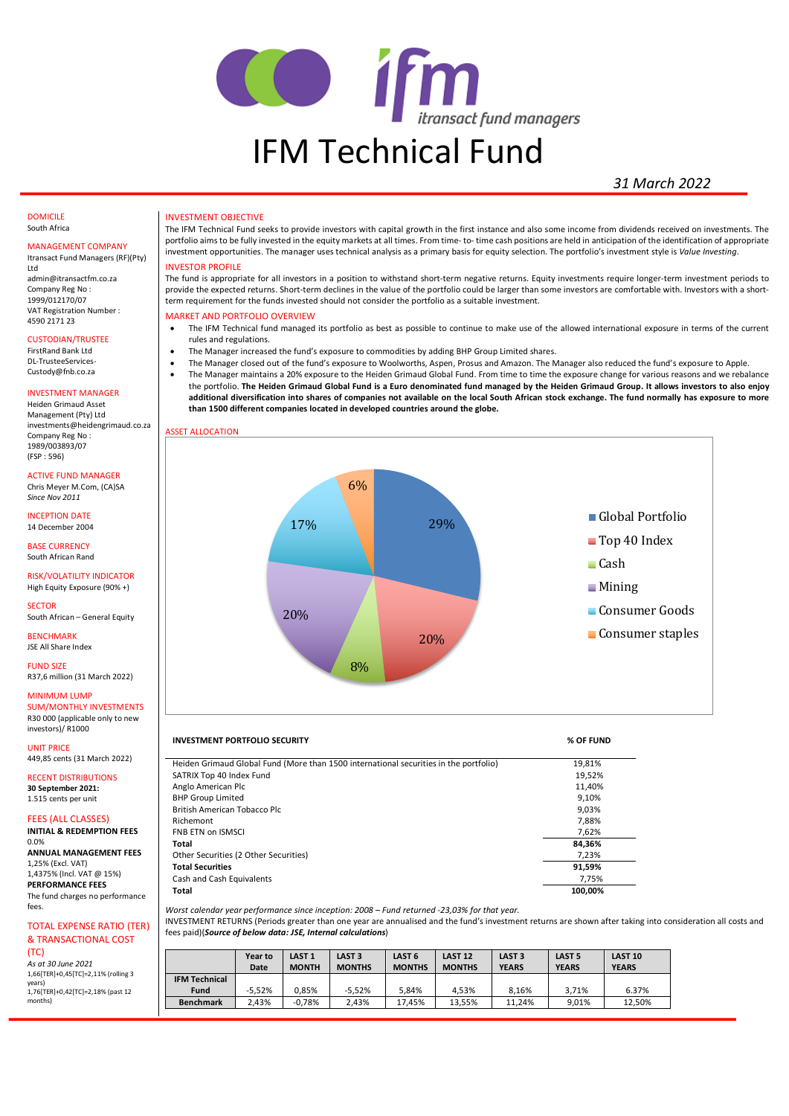

# *31 March 2022*

#### DOMICILE South Africa

## MANAGEMENT COMPANY

Itransact Fund Managers (RF)(Pty) Ltd admin@itransactfm.co.za Company Reg No : 1999/012170/07 VAT Registration Number : 4590 2171 23

### CUSTODIAN/TRUSTEE

FirstRand Bank Ltd DL-TrusteeServices-Custody@fnb.co.za

# INVESTMENT MANAGER

Heiden Grimaud Asset Management (Pty) Ltd investments@heidengrimaud.co.za Company Reg No : 1989/003893/07 (FSP : 596)

# ACTIVE FUND MANAGER

Chris Meyer M.Com, (CA)SA *Since Nov 2011*

INCEPTION DATE 14 December 2004

BASE CURRENCY South African Rand

## RISK/VOLATILITY INDICATOR High Equity Exposure (90% +)

**SECTOR** South African – General Equity

**BENCHMARK** 

JSE All Share Index FUND SIZE

R37,6 million (31 March 2022)

# MINIMUM LUMP

SUM/MONTHLY INVESTMENTS R30 000 (applicable only to new investors)/ R1000

UNIT PRICE 449,85 cents (31 March 2022)

#### RECENT DISTRIBUTIONS **30 September 2021:**  1.515 cents per unit

FEES (ALL CLASSES)

# **INITIAL & REDEMPTION FEES**

0.0% **ANNUAL MANAGEMENT FEES** 1,25% (Excl. VAT) 1,4375% (Incl. VAT @ 15%) **PERFORMANCE FEES** The fund charges no performance fees.

# TOTAL EXPENSE RATIO (TER)

& TRANSACTIONAL COST (TC) *As at 30 June 2021* 1,66[TER]+0,45[TC]=2,11% (rolling 3 years) 1,76[TER]+0,42[TC]=2,18% (past 12 months)

#### INVESTMENT OBJECTIVE

The IFM Technical Fund seeks to provide investors with capital growth in the first instance and also some income from dividends received on investments. The portfolio aims to be fully invested in the equity markets at all times. From time- to- time cash positions are held in anticipation of the identification of appropriate investment opportunities. The manager uses technical analysis as a primary basis for equity selection. The portfolio's investment style is *Value Investing*.

## INVESTOR PROFILE

The fund is appropriate for all investors in a position to withstand short-term negative returns. Equity investments require longer-term investment periods to provide the expected returns. Short-term declines in the value of the portfolio could be larger than some investors are comfortable with. Investors with a shortterm requirement for the funds invested should not consider the portfolio as a suitable investment.

# MARKET AND PORTFOLIO OVERVIEW

- The IFM Technical fund managed its portfolio as best as possible to continue to make use of the allowed international exposure in terms of the current rules and regulations.
- The Manager increased the fund's exposure to commodities by adding BHP Group Limited shares.
- The Manager closed out of the fund's exposure to Woolworths, Aspen, Prosus and Amazon. The Manager also reduced the fund's exposure to Apple.
- The Manager maintains a 20% exposure to the Heiden Grimaud Global Fund. From time to time the exposure change for various reasons and we rebalance the portfolio. **The Heiden Grimaud Global Fund is a Euro denominated fund managed by the Heiden Grimaud Group. It allows investors to also enjoy additional diversification into shares of companies not available on the local South African stock exchange. The fund normally has exposure to more than 1500 different companies located in developed countries around the globe.**



## **INVESTMENT PORTFOLIO SECURITY % OF FUND**

| Heiden Grimaud Global Fund (More than 1500 international securities in the portfolio) | 19,81%  |
|---------------------------------------------------------------------------------------|---------|
| SATRIX Top 40 Index Fund                                                              | 19,52%  |
| Anglo American Plc                                                                    | 11.40%  |
| <b>BHP Group Limited</b>                                                              | 9.10%   |
| British American Tobacco Plc                                                          | 9.03%   |
| Richemont                                                                             | 7.88%   |
| <b>FNB ETN on ISMSCI</b>                                                              | 7.62%   |
| Total                                                                                 | 84.36%  |
| Other Securities (2 Other Securities)                                                 | 7,23%   |
| <b>Total Securities</b>                                                               | 91,59%  |
| Cash and Cash Equivalents                                                             | 7.75%   |
| Total                                                                                 | 100.00% |

*Worst calendar year performance since inception: 2008 – Fund returned -23,03% for that year.*

INVESTMENT RETURNS (Periods greater than one year are annualised and the fund's investment returns are shown after taking into consideration all costs and fees paid)(*Source of below data: JSE, Internal calculations*)

|                      | Year to<br>Date | LAST <sub>1</sub><br><b>MONTH</b> | LAST <sub>3</sub><br><b>MONTHS</b> | LAST <sub>6</sub><br><b>MONTHS</b> | <b>LAST 12</b><br><b>MONTHS</b> | LAST <sub>3</sub><br><b>YEARS</b> | LAST <sub>5</sub><br><b>YEARS</b> | <b>LAST 10</b><br><b>YEARS</b> |
|----------------------|-----------------|-----------------------------------|------------------------------------|------------------------------------|---------------------------------|-----------------------------------|-----------------------------------|--------------------------------|
| <b>IFM Technical</b> |                 |                                   |                                    |                                    |                                 |                                   |                                   |                                |
| <b>Fund</b>          | $-5.52%$        | 0.85%                             | $-5.52%$                           | 5.84%                              | 4.53%                           | 8.16%                             | 3.71%                             | 6.37%                          |
| <b>Benchmark</b>     | 2.43%           | $-0.78%$                          | 2.43%                              | 17.45%                             | 13.55%                          | 11.24%                            | 9.01%                             | 12.50%                         |